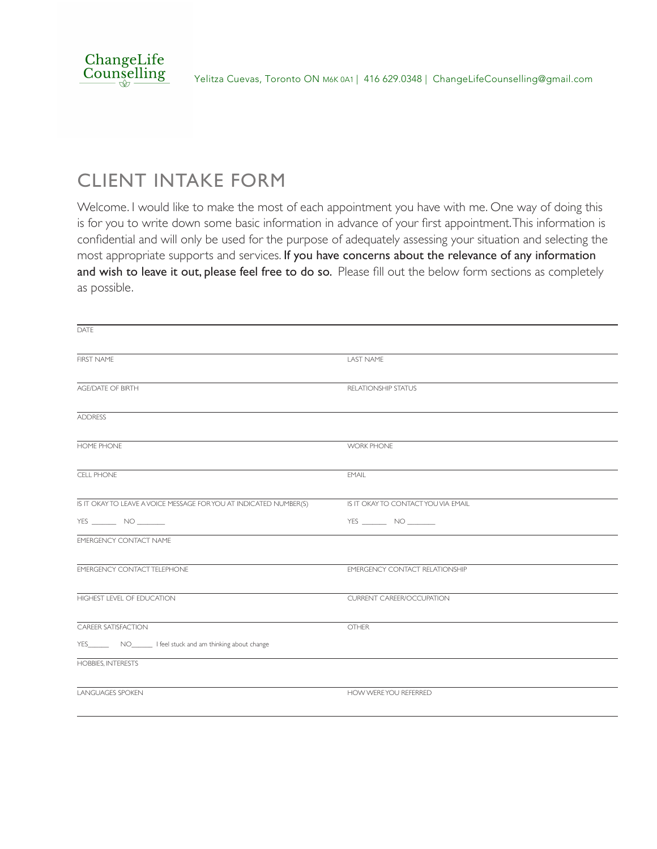

### CLIENT INTAKE FORM

Welcome. I would like to make the most of each appointment you have with me. One way of doing this is for you to write down some basic information in advance of your first appointment. This information is confidential and will only be used for the purpose of adequately assessing your situation and selecting the most appropriate supports and services. If you have concerns about the relevance of any information and wish to leave it out, please feel free to do so. Please fill out the below form sections as completely as possible.

| DATE                                                               |                                       |
|--------------------------------------------------------------------|---------------------------------------|
| <b>FIRST NAME</b>                                                  | <b>LAST NAME</b>                      |
| <b>AGE/DATE OF BIRTH</b>                                           | <b>RELATIONSHIP STATUS</b>            |
| <b>ADDRESS</b>                                                     |                                       |
| <b>HOME PHONE</b>                                                  | <b>WORK PHONE</b>                     |
| CELL PHONE                                                         | <b>EMAIL</b>                          |
| IS IT OKAY TO LEAVE A VOICE MESSAGE FOR YOU AT INDICATED NUMBER(S) | IS IT OKAY TO CONTACT YOU VIA EMAIL   |
| YES $\qquad \qquad \text{NO} \qquad \qquad$                        | YES ________ NO _______               |
| <b>EMERGENCY CONTACT NAME</b>                                      |                                       |
| <b>EMERGENCY CONTACT TELEPHONE</b>                                 | <b>EMERGENCY CONTACT RELATIONSHIP</b> |
| HIGHEST LEVEL OF EDUCATION                                         | <b>CURRENT CAREER/OCCUPATION</b>      |
| <b>CAREER SATISFACTION</b>                                         | <b>OTHER</b>                          |
|                                                                    |                                       |
| <b>HOBBIES, INTERESTS</b>                                          |                                       |
| <b>LANGUAGES SPOKEN</b>                                            | HOW WERE YOU REFERRED                 |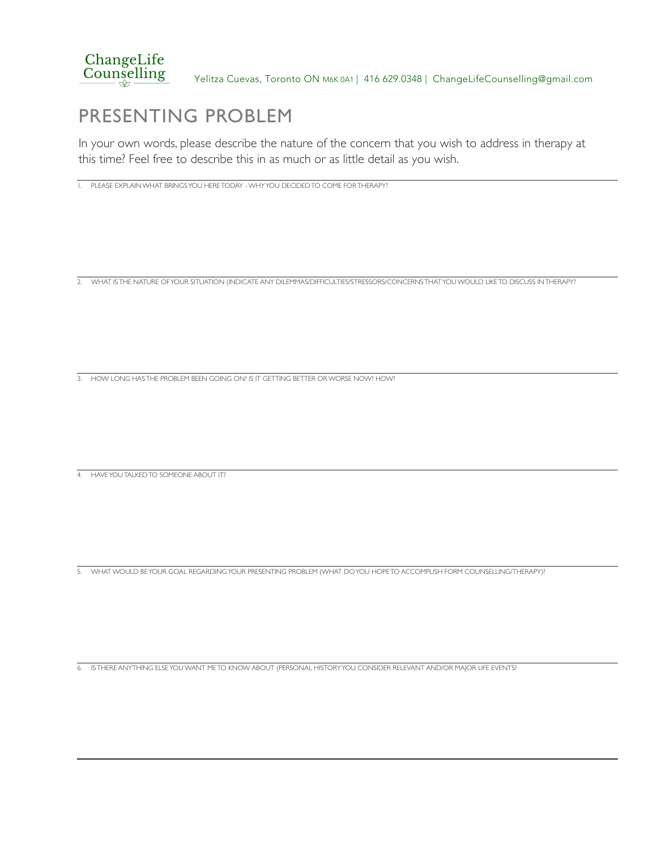

### PRESENTING PROBLEM

In your own words, please describe the nature of the concern that you wish to address in therapy at this time? Feel free to describe this in as much or as little detail as you wish.

1. PLEASE EXPLAIN WHAT BRINGS YOU HERE TODAY - WHY YOU DECIDED TO COME FOR THERAPY?

2. WHAT IS THE NATURE OF YOUR SITUATION (INDICATE ANY DILEMMAS/DIFFICULTIES/STRESSORS/CONCERNS THAT YOU WOULD LIKE TO DISCUSS IN THERAPY?

3. HOW LONG HAS THE PROBLEM BEEN GOING ON? IS IT GETTING BETTER OR WORSE NOW? HOW?

4. HAVE YOU TALKED TO SOMEONE ABOUT IT?

5. WHAT WOULD BE YOUR GOAL REGARDING YOUR PRESENTING PROBLEM (WHAT DO YOU HOPE TO ACCOMPLISH FORM COUNSELLING/THERAPY)?

6. IS THERE ANYTHING ELSE YOU WANT ME TO KNOW ABOUT (PERSONAL HISTORY YOU CONSIDER RELEVANT AND/OR MAJOR LIFE EVENTS?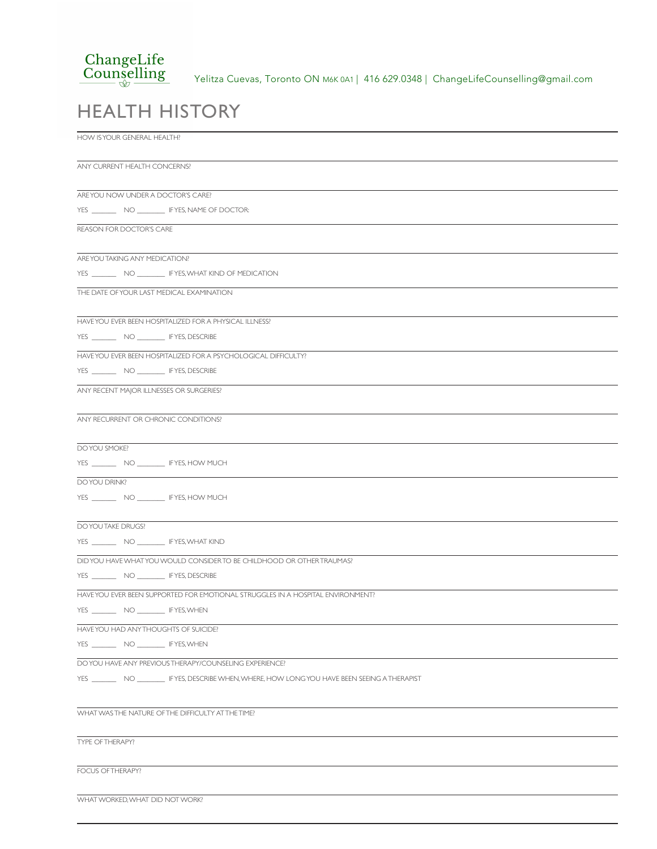#### ChangeLife Counselling

Yelitza Cuevas, Toronto ON M6K 0A1 | 416 629.0348 | ChangeLifeCounselling@gmail.com

## HEALTH HISTORY

HOW IS YOUR GENERAL HEALTH?

ANY CURRENT HEALTH CONCERNS? ARE YOU NOW UNDER A DOCTOR'S CARE? YES \_\_\_\_\_\_\_\_\_\_ NO \_\_\_\_\_\_\_\_\_ IFYES, NAME OF DOCTOR: REASON FOR DOCTOR'S CARE ARE YOU TAKING ANY MEDICATION? YES \_\_\_\_\_\_\_\_\_ NO \_\_\_\_\_\_\_\_\_ IF YES, WHAT KIND OF MEDICATION THE DATE OF YOUR LAST MEDICAL EXAMINATION HAVE YOU EVER BEEN HOSPITALIZED FOR A PHYSICAL ILLNESS? YES \_\_\_\_\_\_\_ NO \_\_\_\_\_\_\_\_ IF YES, DESCRIBE HAVE YOU EVER BEEN HOSPITALIZED FOR A PSYCHOLOGICAL DIFFICULTY? YES \_\_\_\_\_\_\_\_\_ NO \_\_\_\_\_\_\_\_\_ IF YES, DESCRIBE ANY RECENT MAJOR ILLNESSES OR SURGERIES? ANY RECURRENT OR CHRONIC CONDITIONS? DO YOU SMOKE? YES \_\_\_\_\_\_\_\_\_\_ NO \_\_\_\_\_\_\_\_\_ IFYES, HOW MUCH DO YOU DRINK? YES \_\_\_\_\_\_\_\_\_ NO \_\_\_\_\_\_\_\_\_ IFYES, HOW MUCH DO YOU TAKE DRUGS? YES \_\_\_\_\_\_\_ NO \_\_\_\_\_\_\_\_ IF YES, WHAT KIND DID YOU HAVE WHAT YOU WOULD CONSIDER TO BE CHILDHOOD OR OTHER TRAUMAS? YES \_\_\_\_\_\_\_ NO \_\_\_\_\_\_\_\_ IF YES, DESCRIBE HAVE YOU EVER BEEN SUPPORTED FOR EMOTIONAL STRUGGLES IN A HOSPITAL ENVIRONMENT? YES \_\_\_\_\_\_\_\_\_ NO \_\_\_\_\_\_\_\_ IFYES, WHEN HAVE YOU HAD ANY THOUGHTS OF SUICIDE? YES \_\_\_\_\_\_\_\_\_ NO \_\_\_\_\_\_\_\_\_ IFYES, WHEN DO YOU HAVE ANY PREVIOUS THERAPY/COUNSELING EXPERIENCE? YES \_\_\_\_\_\_\_ NO \_\_\_\_\_\_\_\_ IF YES, DESCRIBE WHEN, WHERE, HOW LONG YOU HAVE BEEN SEEING A THERAPIST WHAT WAS THE NATURE OF THE DIFFICULTY AT THE TIME?

TYPE OF THERAPY?

FOCUS OF THERAPY?

WHAT WORKED, WHAT DID NOT WORK?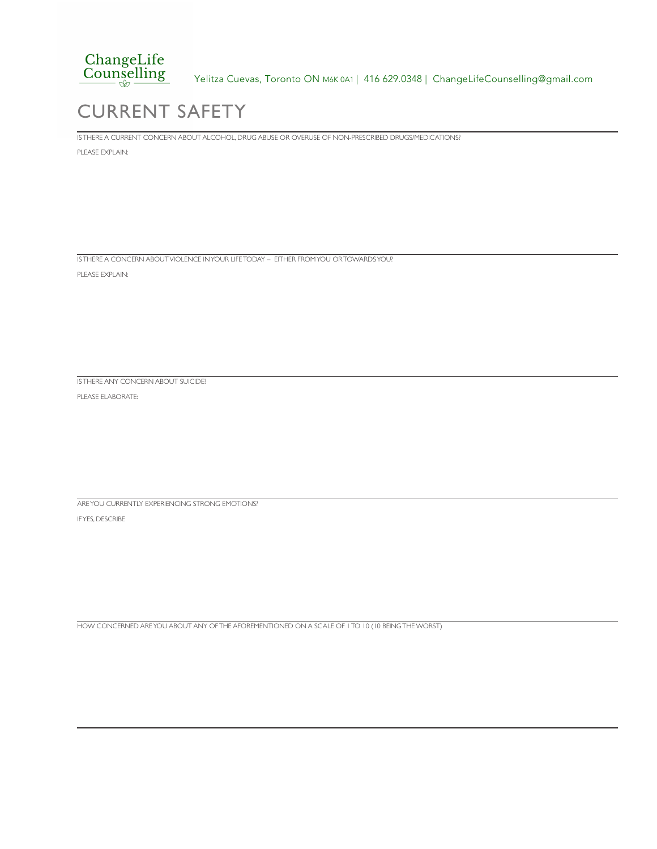

Yelitza Cuevas, Toronto ON M6K 0A1 | 416 629.0348 | ChangeLifeCounselling@gmail.com

# CURRENT SAFETY

IS THERE A CURRENT CONCERN ABOUT ALCOHOL, DRUG ABUSE OR OVERUSE OF NON-PRESCRIBED DRUGS/MEDICATIONS?

PLEASE EXPLAIN:

IS THERE A CONCERN ABOUT VIOLENCE IN YOUR LIFE TODAY – EITHER FROM YOU OR TOWARDS YOU?

PLEASE EXPLAIN:

IS THERE ANY CONCERN ABOUT SUICIDE?

PLEASE ELABORATE:

ARE YOU CURRENTLY EXPERIENCING STRONG EMOTIONS?

IF YES, DESCRIBE

HOW CONCERNED ARE YOU ABOUT ANY OF THE AFOREMENTIONED ON A SCALE OF 1 TO 10 (10 BEING THE WORST)